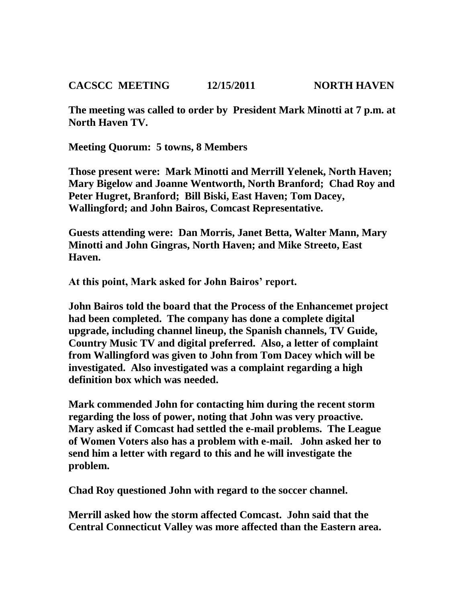**CACSCC MEETING 12/15/2011 NORTH HAVEN**

**The meeting was called to order by President Mark Minotti at 7 p.m. at North Haven TV.**

**Meeting Quorum: 5 towns, 8 Members**

**Those present were: Mark Minotti and Merrill Yelenek, North Haven; Mary Bigelow and Joanne Wentworth, North Branford; Chad Roy and Peter Hugret, Branford; Bill Biski, East Haven; Tom Dacey, Wallingford; and John Bairos, Comcast Representative.**

**Guests attending were: Dan Morris, Janet Betta, Walter Mann, Mary Minotti and John Gingras, North Haven; and Mike Streeto, East Haven.**

**At this point, Mark asked for John Bairos' report.**

**John Bairos told the board that the Process of the Enhancemet project had been completed. The company has done a complete digital upgrade, including channel lineup, the Spanish channels, TV Guide, Country Music TV and digital preferred. Also, a letter of complaint from Wallingford was given to John from Tom Dacey which will be investigated. Also investigated was a complaint regarding a high definition box which was needed.**

**Mark commended John for contacting him during the recent storm regarding the loss of power, noting that John was very proactive. Mary asked if Comcast had settled the e-mail problems. The League of Women Voters also has a problem with e-mail. John asked her to send him a letter with regard to this and he will investigate the problem.**

**Chad Roy questioned John with regard to the soccer channel.**

**Merrill asked how the storm affected Comcast. John said that the Central Connecticut Valley was more affected than the Eastern area.**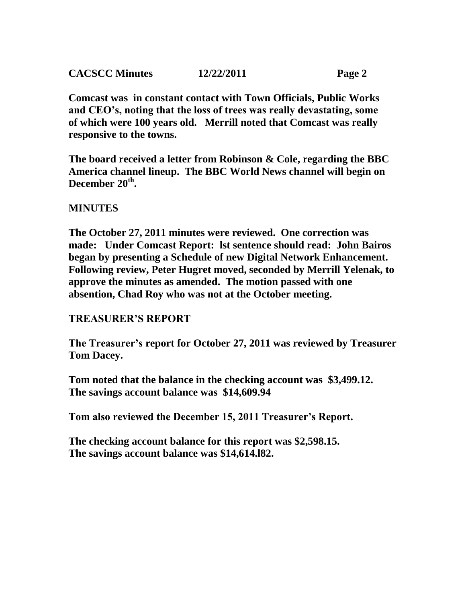| <b>CACSCC Minutes</b> | 12/22/2011 | Page 2 |
|-----------------------|------------|--------|
|                       |            |        |

**Comcast was in constant contact with Town Officials, Public Works and CEO's, noting that the loss of trees was really devastating, some of which were 100 years old. Merrill noted that Comcast was really responsive to the towns.**

**The board received a letter from Robinson & Cole, regarding the BBC America channel lineup. The BBC World News channel will begin on December 20th .**

## **MINUTES**

**The October 27, 2011 minutes were reviewed. One correction was made: Under Comcast Report: lst sentence should read: John Bairos began by presenting a Schedule of new Digital Network Enhancement. Following review, Peter Hugret moved, seconded by Merrill Yelenak, to approve the minutes as amended. The motion passed with one absention, Chad Roy who was not at the October meeting.**

## **TREASURER'S REPORT**

**The Treasurer's report for October 27, 2011 was reviewed by Treasurer Tom Dacey.** 

**Tom noted that the balance in the checking account was \$3,499.12. The savings account balance was \$14,609.94**

**Tom also reviewed the December 15, 2011 Treasurer's Report.**

**The checking account balance for this report was \$2,598.15. The savings account balance was \$14,614.l82.**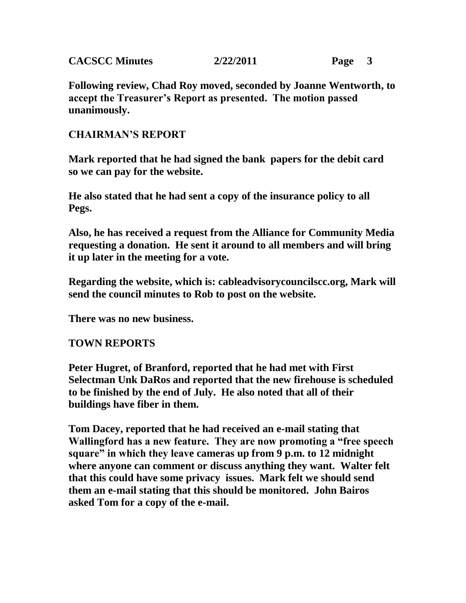| <b>CACSCC Minutes</b> | 2/22/2011 | Page |  |
|-----------------------|-----------|------|--|
|                       |           |      |  |

**Following review, Chad Roy moved, seconded by Joanne Wentworth, to accept the Treasurer's Report as presented. The motion passed unanimously.**

## **CHAIRMAN'S REPORT**

**Mark reported that he had signed the bank papers for the debit card so we can pay for the website.** 

**He also stated that he had sent a copy of the insurance policy to all Pegs.**

**Also, he has received a request from the Alliance for Community Media requesting a donation. He sent it around to all members and will bring it up later in the meeting for a vote.**

**Regarding the website, which is: cableadvisorycouncilscc.org, Mark will send the council minutes to Rob to post on the website.**

**There was no new business.**

## **TOWN REPORTS**

**Peter Hugret, of Branford, reported that he had met with First Selectman Unk DaRos and reported that the new firehouse is scheduled to be finished by the end of July. He also noted that all of their buildings have fiber in them.**

**Tom Dacey, reported that he had received an e-mail stating that Wallingford has a new feature. They are now promoting a "free speech square" in which they leave cameras up from 9 p.m. to 12 midnight where anyone can comment or discuss anything they want. Walter felt that this could have some privacy issues. Mark felt we should send them an e-mail stating that this should be monitored. John Bairos asked Tom for a copy of the e-mail.**